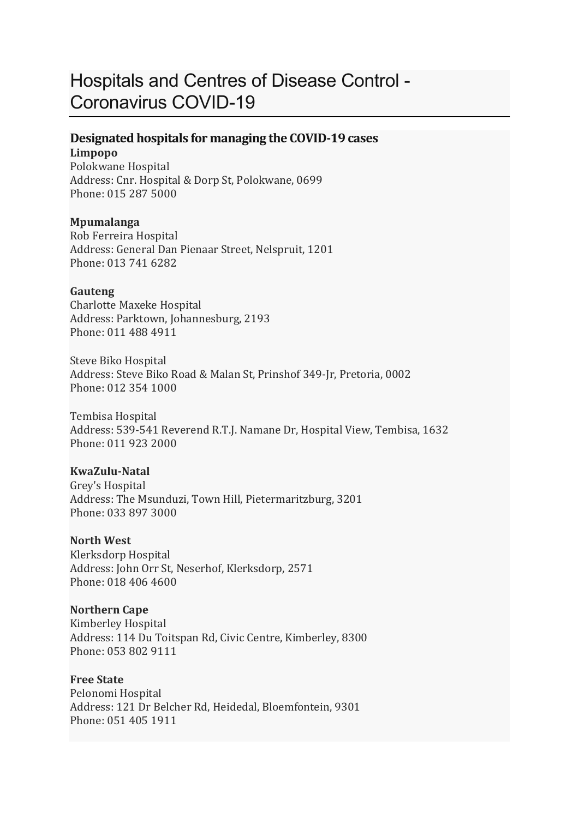# Hospitals and Centres of Disease Control - Coronavirus COVID-19

#### **Designated hospitals for managing the COVID-19 cases Limpopo**

Polokwane Hospital Address: Cnr. Hospital & Dorp St, Polokwane, 0699 Phone: 015 287 5000

#### **Mpumalanga**

Rob Ferreira Hospital Address: General Dan Pienaar Street, Nelspruit, 1201 Phone: 013 741 6282

#### **Gauteng**

Charlotte Maxeke Hospital Address: Parktown, Johannesburg, 2193 Phone: 011 488 4911

Steve Biko Hospital Address: Steve Biko Road & Malan St, Prinshof 349-Jr, Pretoria, 0002 Phone: 012 354 1000

Tembisa Hospital Address: 539-541 Reverend R.T.J. Namane Dr, Hospital View, Tembisa, 1632 Phone: 011 923 2000

#### **KwaZulu-Natal**

Grey's Hospital Address: The Msunduzi, Town Hill, Pietermaritzburg, 3201 Phone: 033 897 3000

#### **North West**

Klerksdorp Hospital Address: John Orr St, Neserhof, Klerksdorp, 2571 Phone: 018 406 4600

#### **Northern Cape**

Kimberley Hospital Address: 114 Du Toitspan Rd, Civic Centre, Kimberley, 8300 Phone: 053 802 9111

#### **Free State**

Pelonomi Hospital Address: 121 Dr Belcher Rd, Heidedal, Bloemfontein, 9301 Phone: 051 405 1911